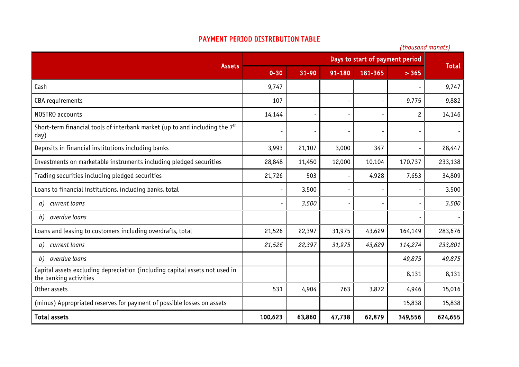## PAYMENT PERIOD DISTRIBUTION TABLE

|                                                                                                       | (thousand manats)               |           |                          |         |                |              |
|-------------------------------------------------------------------------------------------------------|---------------------------------|-----------|--------------------------|---------|----------------|--------------|
|                                                                                                       | Days to start of payment period |           |                          |         |                |              |
| <b>Assets</b>                                                                                         | $0 - 30$                        | $31 - 90$ | 91-180                   | 181-365 | > 365          | <b>Total</b> |
| Cash                                                                                                  | 9,747                           |           |                          |         |                | 9,747        |
| <b>CBA</b> requirements                                                                               | 107                             |           |                          |         | 9,775          | 9,882        |
| NOSTRO accounts                                                                                       | 14,144                          |           |                          |         | $\overline{c}$ | 14,146       |
| Short-term financial tools of interbank market (up to and including the $7th$<br>day)                 |                                 |           |                          |         |                |              |
| Deposits in financial institutions including banks                                                    | 3,993                           | 21,107    | 3,000                    | 347     |                | 28,447       |
| Investments on marketable instruments including pledged securities                                    | 28,848                          | 11,450    | 12,000                   | 10,104  | 170,737        | 233,138      |
| Trading securities including pledged securities                                                       | 21,726                          | 503       | $\overline{\phantom{a}}$ | 4,928   | 7,653          | 34,809       |
| Loans to financial institutions, including banks, total                                               |                                 | 3,500     |                          |         |                | 3,500        |
| current loans<br>a)                                                                                   |                                 | 3,500     |                          |         |                | 3,500        |
| overdue loans<br>b)                                                                                   |                                 |           |                          |         |                |              |
| Loans and leasing to customers including overdrafts, total                                            | 21,526                          | 22,397    | 31,975                   | 43,629  | 164,149        | 283,676      |
| current loans<br>a)                                                                                   | 21,526                          | 22,397    | 31,975                   | 43,629  | 114,274        | 233,801      |
| overdue loans<br>b)                                                                                   |                                 |           |                          |         | 49,875         | 49,875       |
| Capital assets excluding depreciation (including capital assets not used in<br>the banking activities |                                 |           |                          |         | 8,131          | 8,131        |
| Other assets                                                                                          | 531                             | 4,904     | 763                      | 3,872   | 4,946          | 15,016       |
| (minus) Appropriated reserves for payment of possible losses on assets                                |                                 |           |                          |         | 15,838         | 15,838       |
| <b>Total assets</b>                                                                                   | 100,623                         | 63,860    | 47,738                   | 62,879  | 349,556        | 624,655      |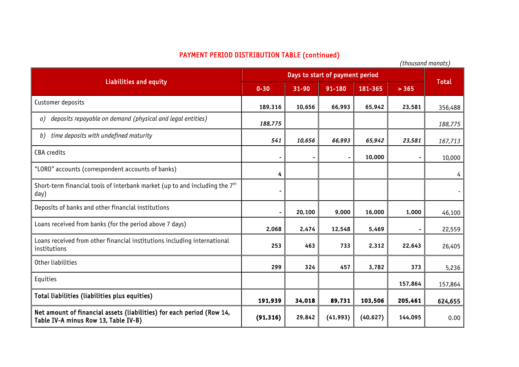## PAYMENT PERIOD DISTRIBUTION TABLE (continued)

*(thousand manats)*

| Liabilities and equity                                                                                        | Days to start of payment period |           |           |           |         |              |
|---------------------------------------------------------------------------------------------------------------|---------------------------------|-----------|-----------|-----------|---------|--------------|
|                                                                                                               | $0 - 30$                        | $31 - 90$ | 91-180    | 181-365   | > 365   | <b>Total</b> |
| Customer deposits                                                                                             | 189,316                         | 10,656    | 66,993    | 65,942    | 23,581  | 356,488      |
| deposits repayable on demand (physical and legal entities)<br>a)                                              | 188,775                         |           |           |           |         | 188,775      |
| time deposits with undefined maturity<br>b)                                                                   | 541                             | 10,656    | 66,993    | 65,942    | 23,581  | 167,713      |
| <b>CBA</b> credits                                                                                            |                                 |           |           | 10,000    |         | 10,000       |
| "LORO" accounts (correspondent accounts of banks)                                                             | 4                               |           |           |           |         |              |
| Short-term financial tools of interbank market (up to and including the 7 <sup>th</sup><br>day)               |                                 |           |           |           |         |              |
| Deposits of banks and other financial institutions                                                            |                                 | 20,100    | 9,000     | 16,000    | 1,000   | 46,100       |
| Loans received from banks (for the period above 7 days)                                                       | 2,068                           | 2,474     | 12,548    | 5,469     |         | 22,559       |
| Loans received from other financial institutions including international<br>institutions                      | 253                             | 463       | 733       | 2,312     | 22,643  | 26,405       |
| Other liabilities                                                                                             | 299                             | 324       | 457       | 3,782     | 373     | 5,236        |
| Equities                                                                                                      |                                 |           |           |           | 157,864 | 157,864      |
| Total liabilities (liabilities plus equities)                                                                 | 191,939                         | 34,018    | 89,731    | 103,506   | 205,461 | 624,655      |
| Net amount of financial assets (liabilities) for each period (Row 14,<br>Table IV-A minus Row 13, Table IV-B) | (91, 316)                       | 29,842    | (41, 993) | (40, 627) | 144,095 | 0.00         |